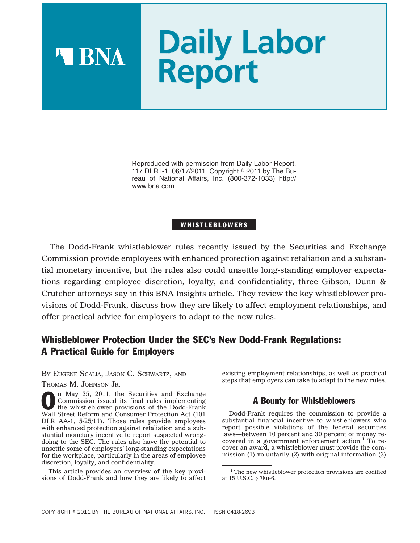# **Daily Labor Report**

Reproduced with permission from Daily Labor Report, 117 DLR I-1, 06/17/2011. Copyright  $\degree$  2011 by The Bureau of National Affairs, Inc. (800-372-1033) http:// www.bna.com

# WHISTLEBLOWERS

The Dodd-Frank whistleblower rules recently issued by the Securities and Exchange Commission provide employees with enhanced protection against retaliation and a substantial monetary incentive, but the rules also could unsettle long-standing employer expectations regarding employee discretion, loyalty, and confidentiality, three Gibson, Dunn & Crutcher attorneys say in this BNA Insights article. They review the key whistleblower provisions of Dodd-Frank, discuss how they are likely to affect employment relationships, and offer practical advice for employers to adapt to the new rules.

# Whistleblower Protection Under the SEC's New Dodd-Frank Regulations: A Practical Guide for Employers

BY EUGENE SCALIA, JASON C. SCHWARTZ, AND THOMAS M. JOHNSON JR.

A BNA

n May 25, 2011, the Securities and Exchange Commission issued its final rules implementing the whistleblower provisions of the Dodd-Frank Wall Street Reform and Consumer Protection Act (101 DLR AA-1, 5/25/11). Those rules provide employees with enhanced protection against retaliation and a substantial monetary incentive to report suspected wrongdoing to the SEC. The rules also have the potential to unsettle some of employers' long-standing expectations for the workplace, particularly in the areas of employee discretion, loyalty, and confidentiality.

This article provides an overview of the key provisions of Dodd-Frank and how they are likely to affect existing employment relationships, as well as practical steps that employers can take to adapt to the new rules.

# A Bounty for Whistleblowers

Dodd-Frank requires the commission to provide a substantial financial incentive to whistleblowers who report possible violations of the federal securities laws—between 10 percent and 30 percent of money recovered in a government enforcement action.<sup>1</sup> To recover an award, a whistleblower must provide the commission (1) voluntarily (2) with original information (3)

<sup>&</sup>lt;sup>1</sup> The new whistleblower protection provisions are codified at 15 U.S.C. § 78u-6.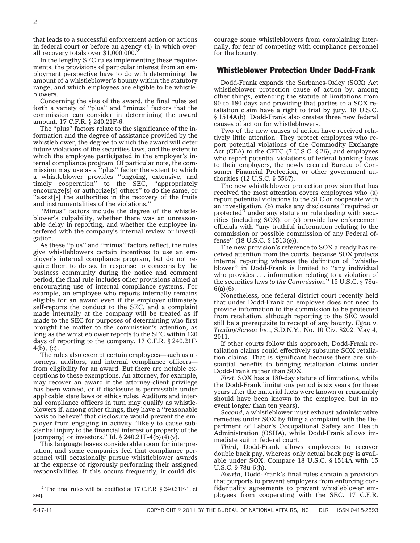that leads to a successful enforcement action or actions in federal court or before an agency (4) in which overall recovery totals over \$1,000,000.2

In the lengthy SEC rules implementing these requirements, the provisions of particular interest from an employment perspective have to do with determining the amount of a whistleblower's bounty within the statutory range, and which employees are eligible to be whistleblowers.

Concerning the size of the award, the final rules set forth a variety of ''plus'' and ''minus'' factors that the commission can consider in determining the award amount. 17 C.F.R. § 240.21F-6.

The ''plus'' factors relate to the significance of the information and the degree of assistance provided by the whistleblower, the degree to which the award will deter future violations of the securities laws, and the extent to which the employee participated in the employer's internal compliance program. Of particular note, the commission may use as a ''plus'' factor the extent to which a whistleblower provides ''ongoing, extensive, and timely cooperation'' to the SEC, ''appropriately encourage[s] or authorize[s] others'' to do the same, or ''assist[s] the authorities in the recovery of the fruits and instrumentalities of the violations.''

''Minus'' factors include the degree of the whistleblower's culpability, whether there was an unreasonable delay in reporting, and whether the employee interfered with the company's internal review or investigation.

As these ''plus'' and ''minus'' factors reflect, the rules give whistleblowers certain incentives to use an employer's internal compliance program, but do not require them to do so. In response to concerns by the business community during the notice and comment period, the final rule includes other provisions aimed at encouraging use of internal compliance systems. For example, an employee who reports internally remains eligible for an award even if the employer ultimately self-reports the conduct to the SEC, and a complaint made internally at the company will be treated as if made to the SEC for purposes of determining who first brought the matter to the commission's attention, as long as the whistleblower reports to the SEC within 120 days of reporting to the company. 17 C.F.R. § 240.21F-4(b), (c).

The rules also exempt certain employees—such as attorneys, auditors, and internal compliance officers from eligibility for an award. But there are notable exceptions to these exemptions. An attorney, for example, may recover an award if the attorney-client privilege has been waived, or if disclosure is permissible under applicable state laws or ethics rules. Auditors and internal compliance officers in turn may qualify as whistleblowers if, among other things, they have a ''reasonable basis to believe'' that disclosure would prevent the employer from engaging in activity ''likely to cause substantial injury to the financial interest or property of the [company] or investors." Id.  $\S 240.21F-4(b)(4)(v)$ .

This language leaves considerable room for interpretation, and some companies feel that compliance personnel will occasionally pursue whistleblower awards at the expense of rigorously performing their assigned responsibilities. If this occurs frequently, it could dis-

<sup>2</sup> The final rules will be codified at 17 C.F.R. § 240.21F-1, et seq.

courage some whistleblowers from complaining internally, for fear of competing with compliance personnel for the bounty.

#### Whistleblower Protection Under Dodd-Frank

Dodd-Frank expands the Sarbanes-Oxley (SOX) Act whistleblower protection cause of action by, among other things, extending the statute of limitations from 90 to 180 days and providing that parties to a SOX retaliation claim have a right to trial by jury. 18 U.S.C. § 1514A(b). Dodd-Frank also creates three new federal causes of action for whistleblowers.

Two of the new causes of action have received relatively little attention: They protect employees who report potential violations of the Commodity Exchange Act (CEA) to the CFTC (7 U.S.C. § 26), and employees who report potential violations of federal banking laws to their employers, the newly created Bureau of Consumer Financial Protection, or other government authorities (12 U.S.C. § 5567).

The new whistleblower protection provision that has received the most attention covers employees who (a) report potential violations to the SEC or cooperate with an investigation, (b) make any disclosures ''required or protected'' under any statute or rule dealing with securities (including SOX), or (c) provide law enforcement officials with ''any truthful information relating to the commission or possible commission of any Federal offense'' (18 U.S.C. § 1513(e)).

The new provision's reference to SOX already has received attention from the courts, because SOX protects internal reporting whereas the definition of ''whistleblower'' in Dodd-Frank is limited to ''any individual who provides . . . information relating to a violation of the securities laws *to the Commission*.'' 15 U.S.C. § 78u- $6(a)(6)$ .

Nonetheless, one federal district court recently held that under Dodd-Frank an employee does not need to provide information to the commission to be protected from retaliation, although reporting to the SEC would still be a prerequisite to receipt of any bounty. *Egan v. TradingScreen Inc.*, S.D.N.Y., No. 10 Civ. 8202, May 4, 2011.

If other courts follow this approach, Dodd-Frank retaliation claims could effectively subsume SOX retaliation claims. That is significant because there are substantial benefits to bringing retaliation claims under Dodd-Frank rather than SOX.

*First*, SOX has a 180-day statute of limitations, while the Dodd-Frank limitations period is six years (or three years after the material facts were known or reasonably should have been known to the employee, but in no event longer than ten years).

*Second*, a whistleblower must exhaust administrative remedies under SOX by filing a complaint with the Department of Labor's Occupational Safety and Health Administration (OSHA), while Dodd-Frank allows immediate suit in federal court.

*Third*, Dodd-Frank allows employees to recover double back pay, whereas only actual back pay is available under SOX. Compare 18 U.S.C. § 1514A with 15 U.S.C. § 78u-6(h).

*Fourth*, Dodd-Frank's final rules contain a provision that purports to prevent employers from enforcing confidentiality agreements to prevent whistleblower employees from cooperating with the SEC. 17 C.F.R.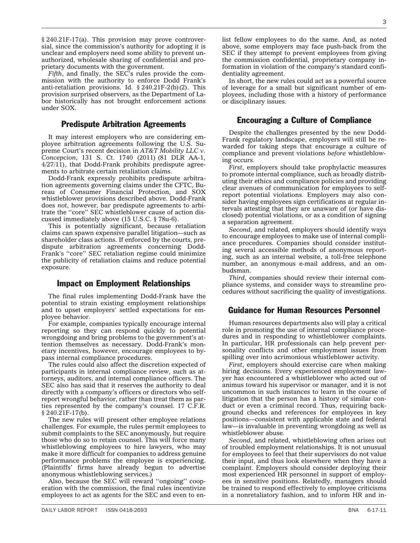§ 240.21F-17(a). This provision may prove controversial, since the commission's authority for adopting it is unclear and employers need some ability to prevent unauthorized, wholesale sharing of confidential and proprietary documents with the government.

*Fifth*, and finally, the SEC's rules provide the commission with the authority to enforce Dodd Frank's anti-retaliation provisions. Id. § 240.21F-2(b)(2). This provision surprised observers, as the Department of Labor historically has not brought enforcement actions under SOX.

#### Predispute Arbitration Agreements

It may interest employers who are considering employee arbitration agreements following the U.S. Supreme Court's recent decision in *AT&T Mobility LLC v. Concepcion*, 131 S. Ct. 1740 (2011) (81 DLR AA-1, 4/27/11), that Dodd-Frank prohibits predispute agreements to arbitrate certain retaliation claims.

Dodd-Frank expressly prohibits predispute arbitration agreements governing claims under the CFTC, Bureau of Consumer Financial Protection, and SOX whistleblower provisions described above. Dodd-Frank does *not*, however, bar predispute agreements to arbitrate the ''core'' SEC whistleblower cause of action discussed immediately above (15 U.S.C. § 78u-6).

This is potentially significant, because retaliation claims can spawn expensive parallel litigation—such as shareholder class actions. If enforced by the courts, predispute arbitration agreements concerning Dodd-Frank's ''core'' SEC retaliation regime could minimize the publicity of retaliation claims and reduce potential exposure.

#### Impact on Employment Relationships

The final rules implementing Dodd-Frank have the potential to strain existing employment relationships and to upset employers' settled expectations for employee behavior.

For example, companies typically encourage internal reporting so they can respond quickly to potential wrongdoing and bring problems to the government's attention themselves as necessary. Dodd-Frank's monetary incentives, however, encourage employees to bypass internal compliance procedures.

The rules could also affect the discretion expected of participants in internal compliance review, such as attorneys, auditors, and internal compliance officers. The SEC also has said that it reserves the authority to deal directly with a company's officers or directors who selfreport wrongful behavior, rather than treat them as parties represented by the company's counsel. 17 C.F.R. § 240.21F-17(b).

The new rules will present other employee relations challenges. For example, the rules permit employees to submit complaints to the SEC anonymously, but require those who do so to retain counsel. This will force many whistleblowing employees to hire lawyers, who may make it more difficult for companies to address genuine performance problems the employee is experiencing. (Plaintiffs' firms have already begun to advertise anonymous whistleblowing services.)

Also, because the SEC will reward ''ongoing'' cooperation with the commission, the final rules incentivize employees to act as agents for the SEC and even to en-

list fellow employees to do the same. And, as noted above, some employers may face push-back from the SEC if they attempt to prevent employees from giving the commission confidential, proprietary company information in violation of the company's standard confidentiality agreement.

In short, the new rules could act as a powerful source of leverage for a small but significant number of employees, including those with a history of performance or disciplinary issues.

# Encouraging a Culture of Compliance

Despite the challenges presented by the new Dodd-Frank regulatory landscape, employers will still be rewarded for taking steps that encourage a culture of compliance and prevent violations *before* whistleblowing occurs.

*First*, employers should take prophylactic measures to promote internal compliance, such as broadly distributing their ethics and compliance policies and providing clear avenues of communication for employees to selfreport potential violations. Employers may also consider having employees sign certifications at regular intervals attesting that they are unaware of (or have disclosed) potential violations, or as a condition of signing a separation agreement.

*Second*, and related, employers should identify ways to encourage employees to make use of internal compliance procedures. Companies should consider instituting several accessible methods of anonymous reporting, such as an internal website, a toll-free telephone number, an anonymous e-mail address, and an ombudsman.

*Third*, companies should review their internal compliance systems, and consider ways to streamline procedures without sacrificing the quality of investigations.

# Guidance for Human Resources Personnel

Human resources departments also will play a critical role in promoting the use of internal compliance procedures and in responding to whistleblower complaints. In particular, HR professionals can help prevent personality conflicts and other employment issues from spilling over into acrimonious whistleblower activity.

*First*, employers should exercise care when making hiring decisions. Every experienced employment lawyer has encountered a whistleblower who acted out of animus toward his supervisor or manager, and it is not uncommon in such instances to learn in the course of litigation that the person has a history of similar conduct or even a criminal record. Thus, requiring background checks and references for employees in key positions—consistent with applicable state and federal law—is invaluable in preventing wrongdoing as well as whistleblower abuse.

*Second*, and related, whistleblowing often arises out of troubled employment relationships. It is not unusual for employees to feel that their supervisors do not value their input, and thus look elsewhere when they have a complaint. Employers should consider deploying their most experienced HR personnel in support of employees in sensitive positions. Relatedly, managers should be trained to respond effectively to employee criticisms in a nonretaliatory fashion, and to inform HR and in